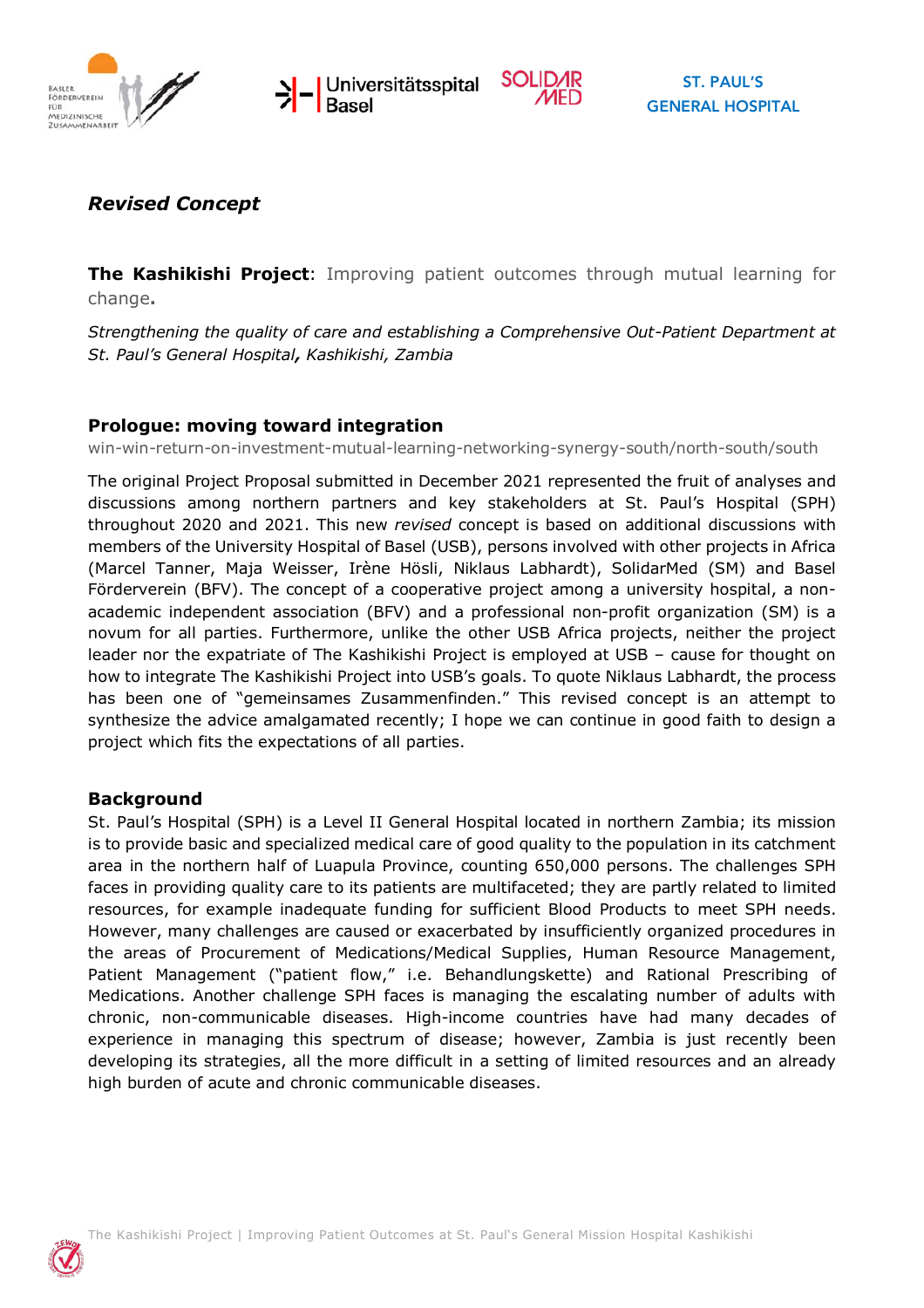





# *Revised Concept*

**The Kashikishi Project**: Improving patient outcomes through mutual learning for change**.**

*Strengthening the quality of care and establishing a Comprehensive Out-Patient Department at St. Paul's General Hospital, Kashikishi, Zambia*

## **Prologue: moving toward integration**

win-win-return-on-investment-mutual-learning-networking-synergy-south/north-south/south

The original Project Proposal submitted in December 2021 represented the fruit of analyses and discussions among northern partners and key stakeholders at St. Paul's Hospital (SPH) throughout 2020 and 2021. This new *revised* concept is based on additional discussions with members of the University Hospital of Basel (USB), persons involved with other projects in Africa (Marcel Tanner, Maja Weisser, Irène Hösli, Niklaus Labhardt), SolidarMed (SM) and Basel Förderverein (BFV). The concept of a cooperative project among a university hospital, a nonacademic independent association (BFV) and a professional non-profit organization (SM) is a novum for all parties. Furthermore, unlike the other USB Africa projects, neither the project leader nor the expatriate of The Kashikishi Project is employed at USB – cause for thought on how to integrate The Kashikishi Project into USB's goals. To quote Niklaus Labhardt, the process has been one of "gemeinsames Zusammenfinden." This revised concept is an attempt to synthesize the advice amalgamated recently; I hope we can continue in good faith to design a project which fits the expectations of all parties.

### **Background**

St. Paul's Hospital (SPH) is a Level II General Hospital located in northern Zambia; its mission is to provide basic and specialized medical care of good quality to the population in its catchment area in the northern half of Luapula Province, counting 650,000 persons. The challenges SPH faces in providing quality care to its patients are multifaceted; they are partly related to limited resources, for example inadequate funding for sufficient Blood Products to meet SPH needs. However, many challenges are caused or exacerbated by insufficiently organized procedures in the areas of Procurement of Medications/Medical Supplies, Human Resource Management, Patient Management ("patient flow," i.e. Behandlungskette) and Rational Prescribing of Medications. Another challenge SPH faces is managing the escalating number of adults with chronic, non-communicable diseases. High-income countries have had many decades of experience in managing this spectrum of disease; however, Zambia is just recently been developing its strategies, all the more difficult in a setting of limited resources and an already high burden of acute and chronic communicable diseases.

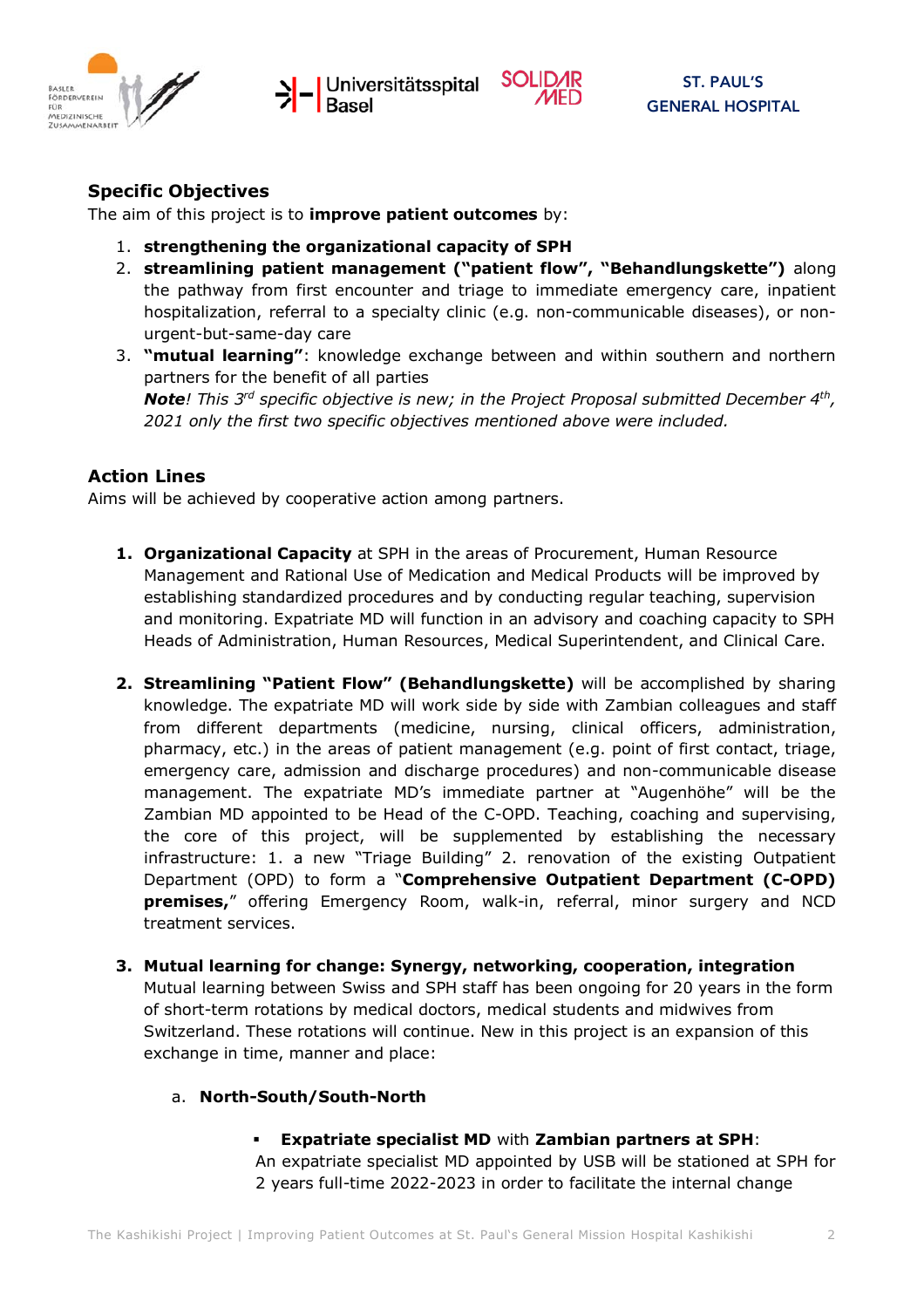





### **Specific Objectives**

The aim of this project is to **improve patient outcomes** by:

- 1. **strengthening the organizational capacity of SPH**
- 2. **streamlining patient management ("patient flow", "Behandlungskette")** along the pathway from first encounter and triage to immediate emergency care, inpatient hospitalization, referral to a specialty clinic (e.g. non-communicable diseases), or nonurgent-but-same-day care
- 3. **"mutual learning"**: knowledge exchange between and within southern and northern partners for the benefit of all parties *Note! This 3rd specific objective is new; in the Project Proposal submitted December 4th, 2021 only the first two specific objectives mentioned above were included.*

### **Action Lines**

Aims will be achieved by cooperative action among partners.

- **1. Organizational Capacity** at SPH in the areas of Procurement, Human Resource Management and Rational Use of Medication and Medical Products will be improved by establishing standardized procedures and by conducting regular teaching, supervision and monitoring. Expatriate MD will function in an advisory and coaching capacity to SPH Heads of Administration, Human Resources, Medical Superintendent, and Clinical Care.
- **2. Streamlining "Patient Flow" (Behandlungskette)** will be accomplished by sharing knowledge. The expatriate MD will work side by side with Zambian colleagues and staff from different departments (medicine, nursing, clinical officers, administration, pharmacy, etc.) in the areas of patient management (e.g. point of first contact, triage, emergency care, admission and discharge procedures) and non-communicable disease management. The expatriate MD's immediate partner at "Augenhöhe" will be the Zambian MD appointed to be Head of the C-OPD. Teaching, coaching and supervising, the core of this project, will be supplemented by establishing the necessary infrastructure: 1. a new "Triage Building" 2. renovation of the existing Outpatient Department (OPD) to form a "**Comprehensive Outpatient Department (C-OPD) premises,**" offering Emergency Room, walk-in, referral, minor surgery and NCD treatment services.
- **3. Mutual learning for change: Synergy, networking, cooperation, integration**  Mutual learning between Swiss and SPH staff has been ongoing for 20 years in the form of short-term rotations by medical doctors, medical students and midwives from Switzerland. These rotations will continue. New in this project is an expansion of this exchange in time, manner and place:
	- a. **North-South/South-North**
		- ! **Expatriate specialist MD** with **Zambian partners at SPH**: An expatriate specialist MD appointed by USB will be stationed at SPH for 2 years full-time 2022-2023 in order to facilitate the internal change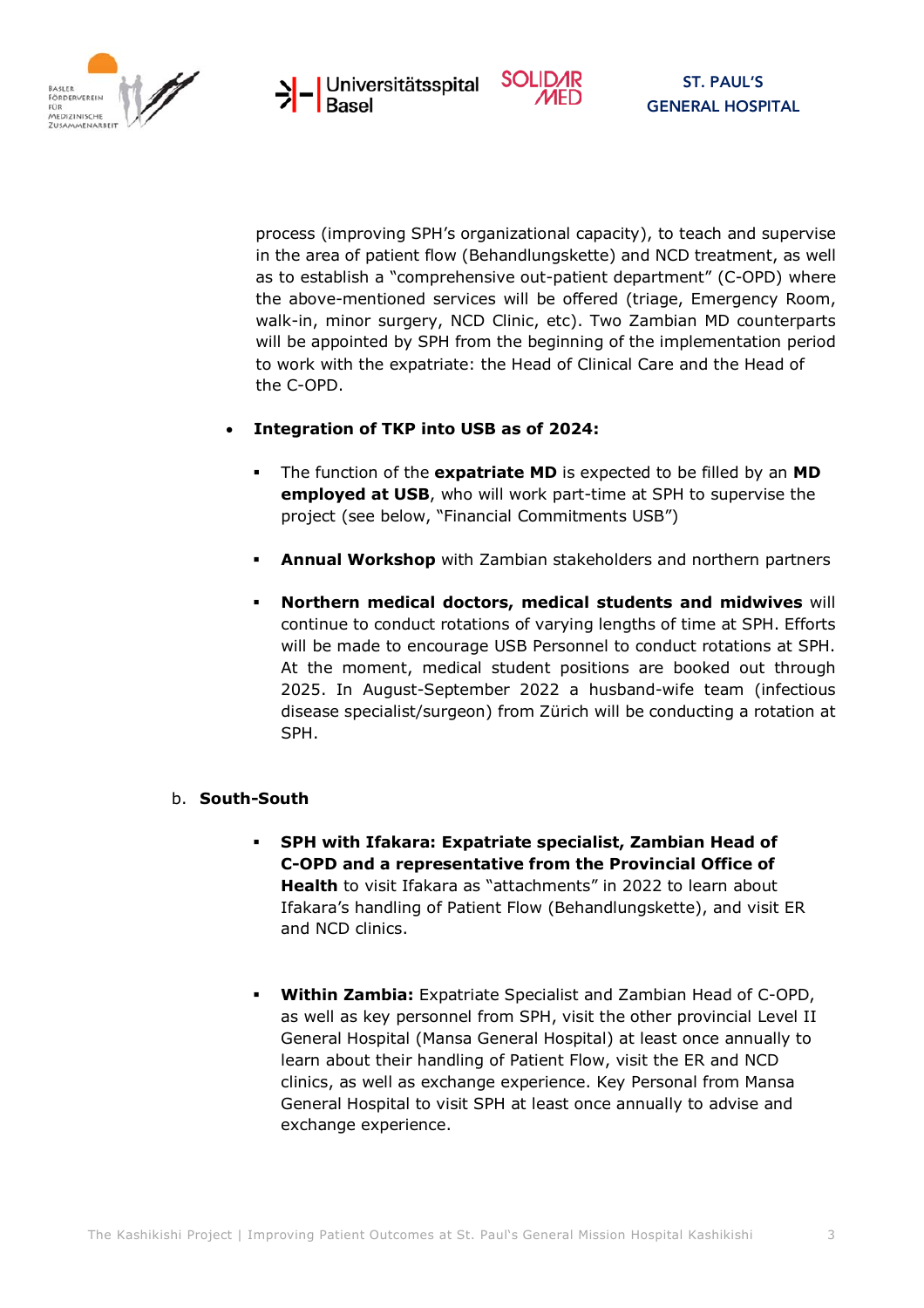





process (improving SPH's organizational capacity), to teach and supervise in the area of patient flow (Behandlungskette) and NCD treatment, as well as to establish a "comprehensive out-patient department" (C-OPD) where the above-mentioned services will be offered (triage, Emergency Room, walk-in, minor surgery, NCD Clinic, etc). Two Zambian MD counterparts will be appointed by SPH from the beginning of the implementation period to work with the expatriate: the Head of Clinical Care and the Head of the C-OPD.

### • **Integration of TKP into USB as of 2024:**

- ! The function of the **expatriate MD** is expected to be filled by an **MD employed at USB**, who will work part-time at SPH to supervise the project (see below, "Financial Commitments USB")
- ! **Annual Workshop** with Zambian stakeholders and northern partners
- ! **Northern medical doctors, medical students and midwives** will continue to conduct rotations of varying lengths of time at SPH. Efforts will be made to encourage USB Personnel to conduct rotations at SPH. At the moment, medical student positions are booked out through 2025. In August-September 2022 a husband-wife team (infectious disease specialist/surgeon) from Zürich will be conducting a rotation at SPH.

#### b. **South-South**

- ! **SPH with Ifakara: Expatriate specialist, Zambian Head of C-OPD and a representative from the Provincial Office of Health** to visit Ifakara as "attachments" in 2022 to learn about Ifakara's handling of Patient Flow (Behandlungskette), and visit ER and NCD clinics.
- ! **Within Zambia:** Expatriate Specialist and Zambian Head of C-OPD, as well as key personnel from SPH, visit the other provincial Level II General Hospital (Mansa General Hospital) at least once annually to learn about their handling of Patient Flow, visit the ER and NCD clinics, as well as exchange experience. Key Personal from Mansa General Hospital to visit SPH at least once annually to advise and exchange experience.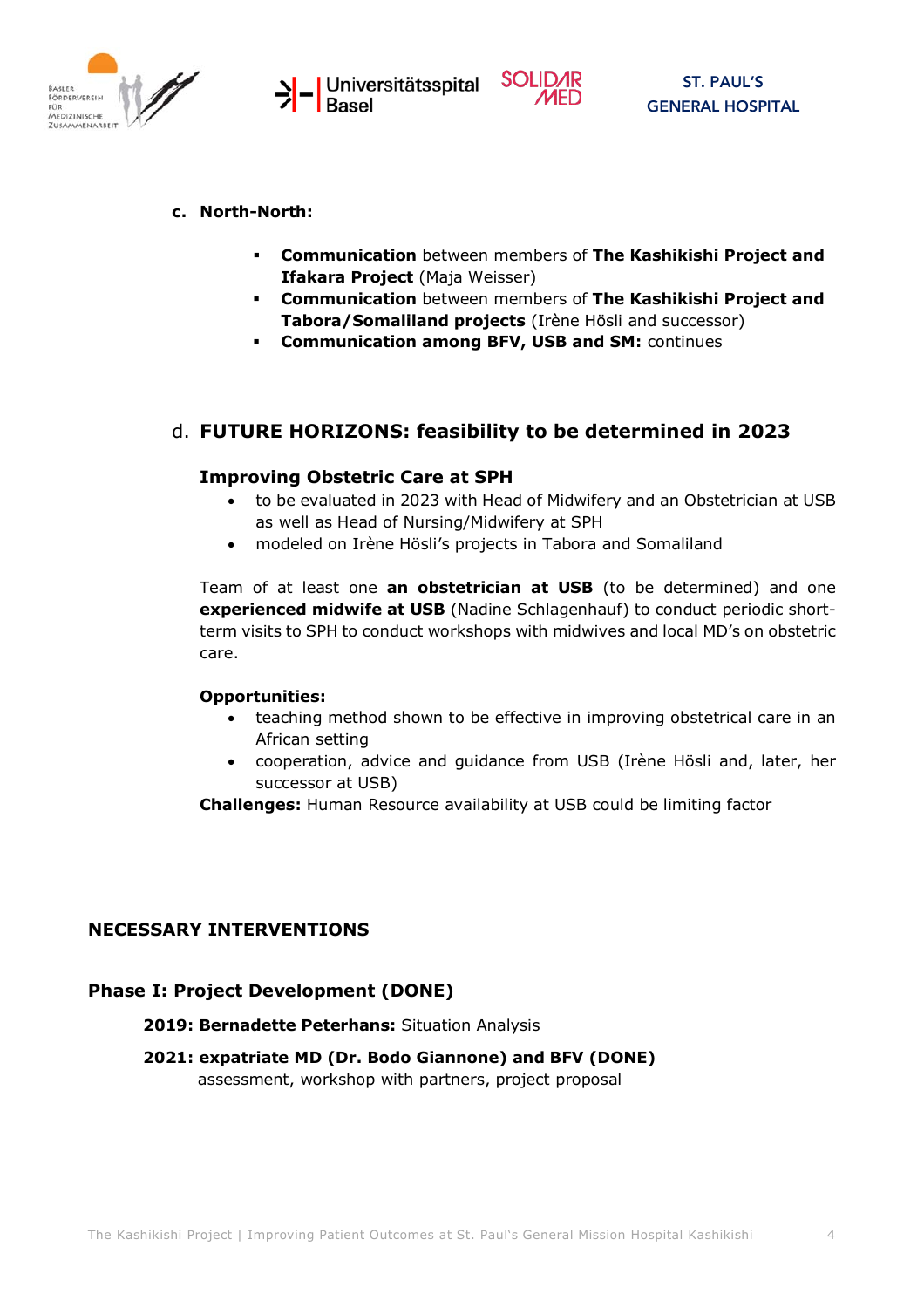



#### **c. North-North:**

- ! **Communication** between members of **The Kashikishi Project and Ifakara Project** (Maja Weisser)
- ! **Communication** between members of **The Kashikishi Project and Tabora/Somaliland projects** (Irène Hösli and successor)
- **EXECT: Communication among BFV, USB and SM: continues**

## d. **FUTURE HORIZONS: feasibility to be determined in 2023**

#### **Improving Obstetric Care at SPH**

- to be evaluated in 2023 with Head of Midwifery and an Obstetrician at USB as well as Head of Nursing/Midwifery at SPH
- modeled on Irène Hösli's projects in Tabora and Somaliland

Team of at least one **an obstetrician at USB** (to be determined) and one **experienced midwife at USB** (Nadine Schlagenhauf) to conduct periodic shortterm visits to SPH to conduct workshops with midwives and local MD's on obstetric care.

#### **Opportunities:**

- teaching method shown to be effective in improving obstetrical care in an African setting
- cooperation, advice and guidance from USB (Irène Hösli and, later, her successor at USB)

**Challenges:** Human Resource availability at USB could be limiting factor

### **NECESSARY INTERVENTIONS**

### **Phase I: Project Development (DONE)**

#### **2019: Bernadette Peterhans:** Situation Analysis

**2021: expatriate MD (Dr. Bodo Giannone) and BFV (DONE)** assessment, workshop with partners, project proposal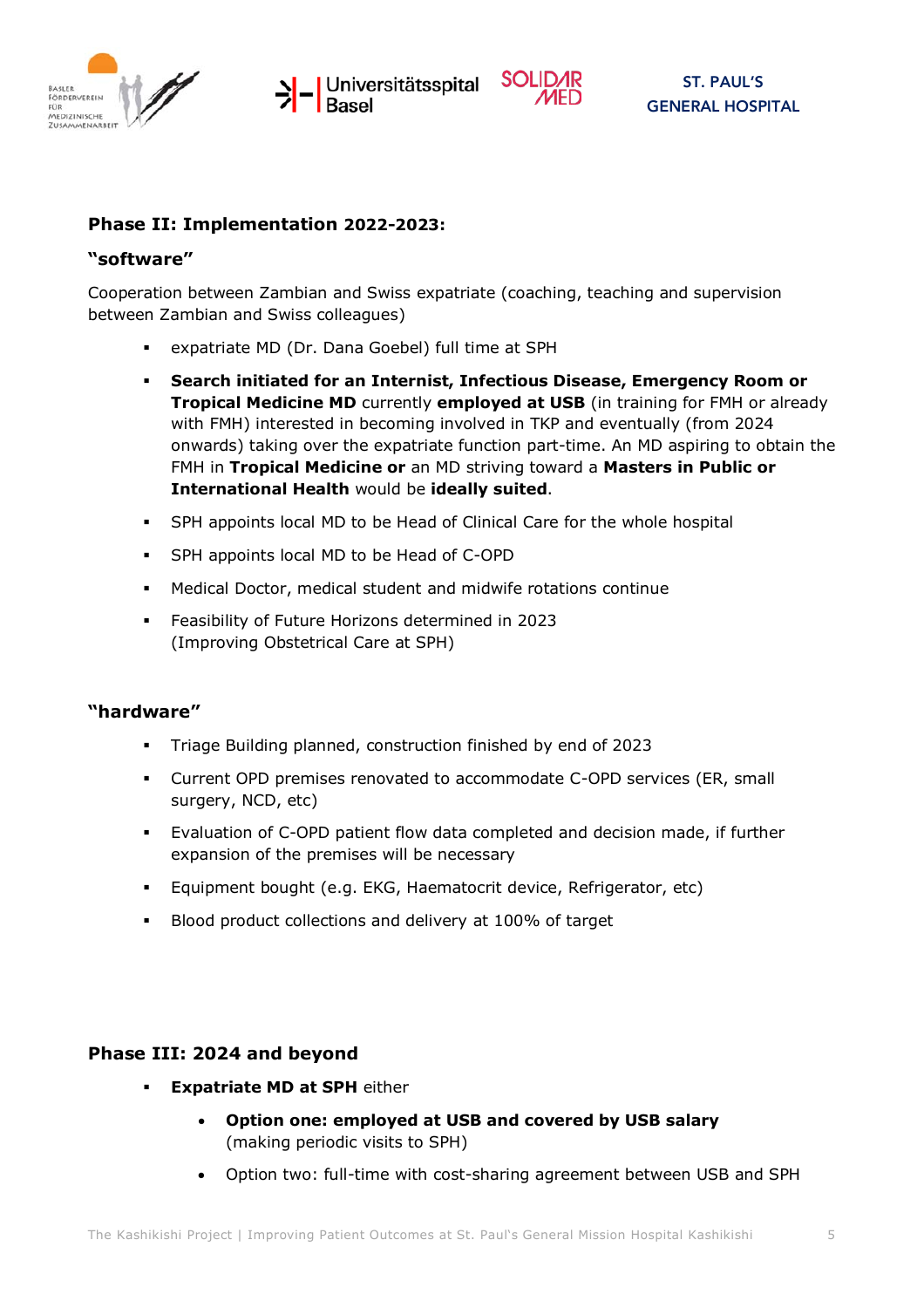





#### **Phase II: Implementation 2022-2023:**

#### **"software"**

Cooperation between Zambian and Swiss expatriate (coaching, teaching and supervision between Zambian and Swiss colleagues)

- expatriate MD (Dr. Dana Goebel) full time at SPH
- ! **Search initiated for an Internist, Infectious Disease, Emergency Room or Tropical Medicine MD** currently **employed at USB** (in training for FMH or already with FMH) interested in becoming involved in TKP and eventually (from 2024 onwards) taking over the expatriate function part-time. An MD aspiring to obtain the FMH in **Tropical Medicine or** an MD striving toward a **Masters in Public or International Health** would be **ideally suited**.
- SPH appoints local MD to be Head of Clinical Care for the whole hospital
- ! SPH appoints local MD to be Head of C-OPD
- ! Medical Doctor, medical student and midwife rotations continue
- ! Feasibility of Future Horizons determined in 2023 (Improving Obstetrical Care at SPH)

#### **"hardware"**

- ! Triage Building planned, construction finished by end of 2023
- ! Current OPD premises renovated to accommodate C-OPD services (ER, small surgery, NCD, etc)
- ! Evaluation of C-OPD patient flow data completed and decision made, if further expansion of the premises will be necessary
- ! Equipment bought (e.g. EKG, Haematocrit device, Refrigerator, etc)
- Blood product collections and delivery at 100% of target

### **Phase III: 2024 and beyond**

- **Expatriate MD at SPH either** 
	- **Option one: employed at USB and covered by USB salary**  (making periodic visits to SPH)
	- Option two: full-time with cost-sharing agreement between USB and SPH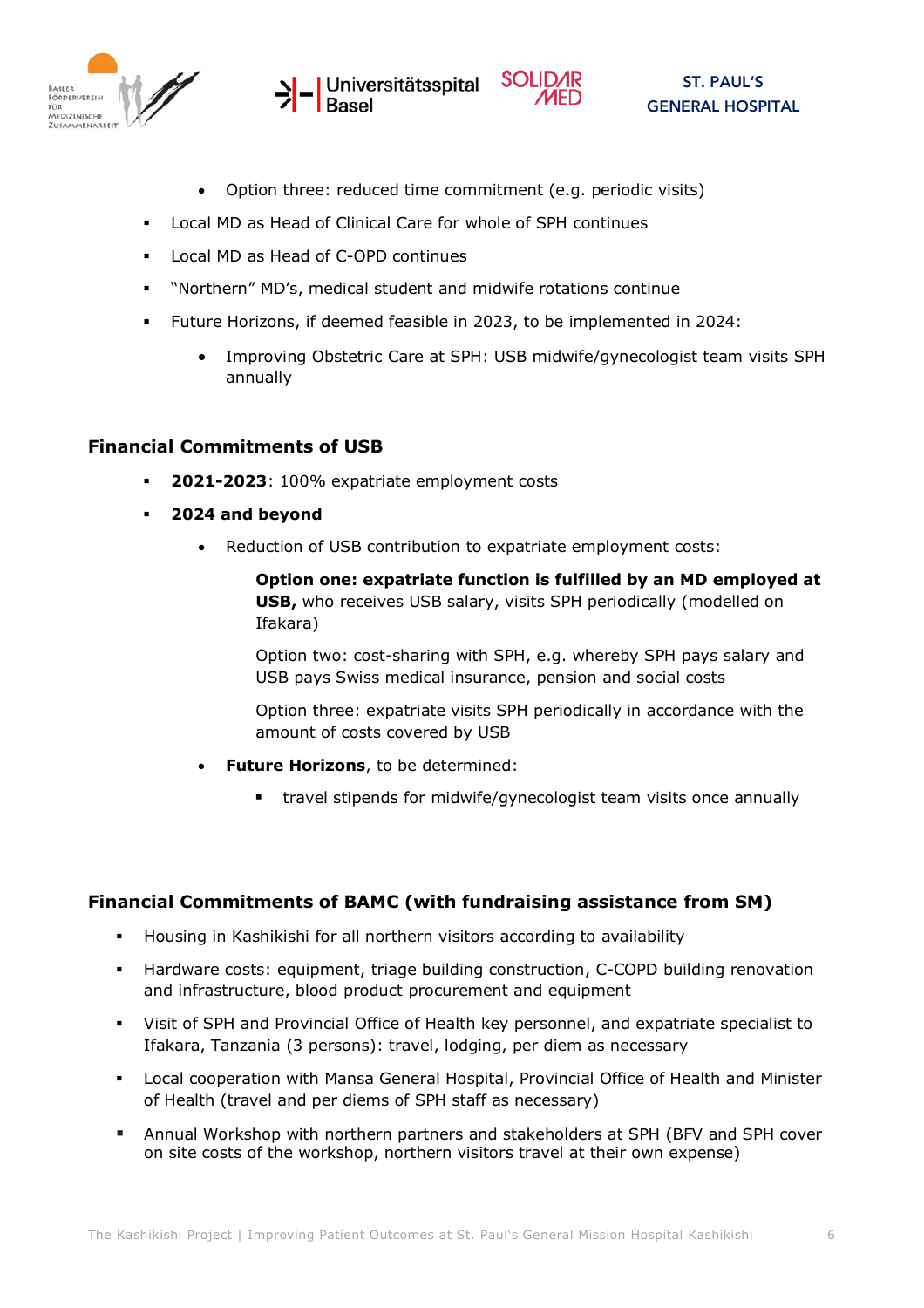





- Option three: reduced time commitment (e.g. periodic visits)
- Local MD as Head of Clinical Care for whole of SPH continues
- ! Local MD as Head of C-OPD continues
- ! "Northern" MD's, medical student and midwife rotations continue
- ! Future Horizons, if deemed feasible in 2023, to be implemented in 2024:
	- Improving Obstetric Care at SPH: USB midwife/gynecologist team visits SPH annually

#### **Financial Commitments of USB**

- ! **2021-2023**: 100% expatriate employment costs
- ! **2024 and beyond**
	- Reduction of USB contribution to expatriate employment costs:

**Option one: expatriate function is fulfilled by an MD employed at USB,** who receives USB salary, visits SPH periodically (modelled on Ifakara)

Option two: cost-sharing with SPH, e.g. whereby SPH pays salary and USB pays Swiss medical insurance, pension and social costs

Option three: expatriate visits SPH periodically in accordance with the amount of costs covered by USB

- **Future Horizons**, to be determined:
	- ! travel stipends for midwife/gynecologist team visits once annually

#### **Financial Commitments of BAMC (with fundraising assistance from SM)**

- ! Housing in Kashikishi for all northern visitors according to availability
- ! Hardware costs: equipment, triage building construction, C-COPD building renovation and infrastructure, blood product procurement and equipment
- ! Visit of SPH and Provincial Office of Health key personnel, and expatriate specialist to Ifakara, Tanzania (3 persons): travel, lodging, per diem as necessary
- ! Local cooperation with Mansa General Hospital, Provincial Office of Health and Minister of Health (travel and per diems of SPH staff as necessary)
- ! Annual Workshop with northern partners and stakeholders at SPH (BFV and SPH cover on site costs of the workshop, northern visitors travel at their own expense)